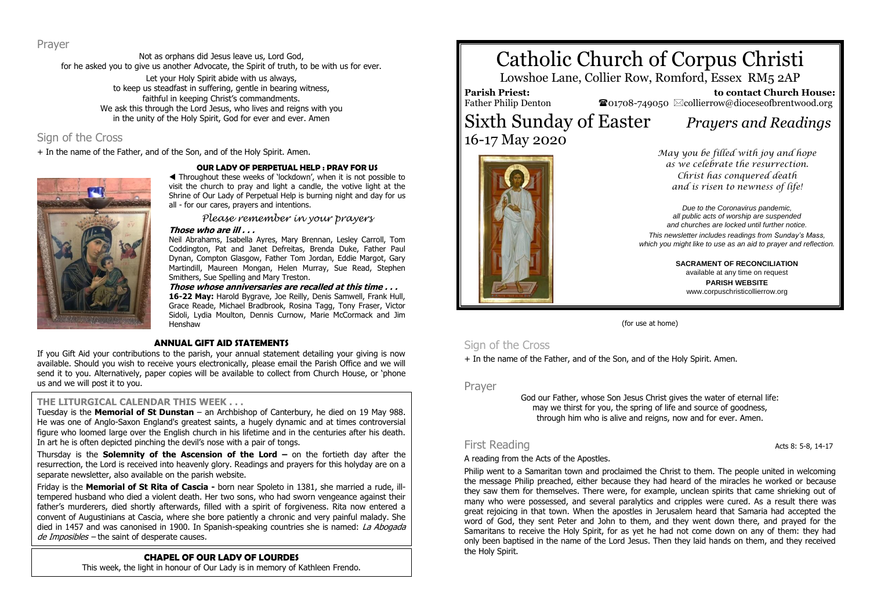Prayer

Not as orphans did Jesus leave us, Lord God, for he asked you to give us another Advocate, the Spirit of truth, to be with us for ever. Let your Holy Spirit abide with us always, to keep us steadfast in suffering, gentle in bearing witness, faithful in keeping Christ's commandments. We ask this through the Lord Jesus, who lives and reigns with you in the unity of the Holy Spirit, God for ever and ever. Amen

### Sign of the Cross

+ In the name of the Father, and of the Son, and of the Holy Spirit. Amen.



#### **OUR LADY OF PERPETUAL HELP : PRAY FOR US**

 Throughout these weeks of 'lockdown', when it is not possible to visit the church to pray and light a candle, the votive light at the Shrine of Our Lady of Perpetual Help is burning night and day for us all - for our cares, prayers and intentions.

*Please remember in your prayers*

#### **Those who are ill . . .**

Neil Abrahams, Isabella Ayres, Mary Brennan, Lesley Carroll, Tom Coddington, Pat and Janet Defreitas, Brenda Duke, Father Paul Dynan, Compton Glasgow, Father Tom Jordan, Eddie Margot, Gary Martindill, Maureen Mongan, Helen Murray, Sue Read, Stephen Smithers, Sue Spelling and Mary Treston.

**Those whose anniversaries are recalled at this time . . . 16-22 May:** Harold Bygrave, Joe Reilly, Denis Samwell, Frank Hull, Grace Reade, Michael Bradbrook, Rosina Tagg, Tony Fraser, Victor Sidoli, Lydia Moulton, Dennis Curnow, Marie McCormack and Jim Henshaw

#### **ANNUAL GIFT AID STATEMENTS**

If you Gift Aid your contributions to the parish, your annual statement detailing your giving is now available. Should you wish to receive yours electronically, please email the Parish Office and we will send it to you. Alternatively, paper copies will be available to collect from Church House, or 'phone us and we will post it to you.

#### **THE LITURGICAL CALENDAR THIS WEEK . . .**

Tuesday is the **Memorial of St Dunstan** – an Archbishop of Canterbury, he died on 19 May 988. He was one of Anglo-Saxon England's greatest saints, a hugely dynamic and at times controversial figure who loomed large over the English church in his lifetime and in the centuries after his death. In art he is often depicted pinching the devil's nose with a pair of tongs.

Thursday is the **Solemnity of the Ascension of the Lord –** on the fortieth day after the resurrection, the Lord is received into heavenly glory. Readings and prayers for this holyday are on a separate newsletter, also available on the parish website.

Friday is the **Memorial of St Rita of Cascia -** born near Spoleto in 1381, she married a rude, illtempered husband who died a violent death. Her two sons, who had sworn vengeance against their father's murderers, died shortly afterwards, filled with a spirit of forgiveness. Rita now entered a convent of Augustinians at Cascia, where she bore patiently a chronic and very painful malady. She died in 1457 and was canonised in 1900. In Spanish-speaking countries she is named: La Abogada de Imposibles - the saint of desperate causes.

#### **CHAPEL OF OUR LADY OF LOURDES**

This week, the light in honour of Our Lady is in memory of Kathleen Frendo.

# Catholic Church of Corpus Christi

Lowshoe Lane, Collier Row, Romford, Essex RM5 2AP

**Parish Priest:** Father Philip Denton

 **to contact Church House:**  $\bullet$ 01708-749050  $\boxtimes$ collierrow@dioceseofbrentwood.org

## Sixth Sunday of Easter *Prayers and Readings* 16-17 May 2020





*as we celebrate the resurrection. Christ has conquered death and is risen to newness of life!*

*Due to the Coronavirus pandemic, all public acts of worship are suspended and churches are locked until further notice.*

*This newsletter includes readings from Sunday's Mass, which you might like to use as an aid to prayer and reflection.*

> **SACRAMENT OF RECONCILIATION** available at any time on request **PARISH WEBSITE** www.corpuschristicollierrow.org

(for use at home)

#### Sign of the Cross

+ In the name of the Father, and of the Son, and of the Holy Spirit. Amen.

Prayer

God our Father, whose Son Jesus Christ gives the water of eternal life: may we thirst for you, the spring of life and source of goodness, through him who is alive and reigns, now and for ever. Amen.

#### First Reading **Acts** 8: 5-8, 14-17

#### A reading from the Acts of the Apostles.

Philip went to a Samaritan town and proclaimed the Christ to them. The people united in welcoming the message Philip preached, either because they had heard of the miracles he worked or because they saw them for themselves. There were, for example, unclean spirits that came shrieking out of many who were possessed, and several paralytics and cripples were cured. As a result there was great rejoicing in that town. When the apostles in Jerusalem heard that Samaria had accepted the word of God, they sent Peter and John to them, and they went down there, and prayed for the Samaritans to receive the Holy Spirit, for as yet he had not come down on any of them: they had only been baptised in the name of the Lord Jesus. Then they laid hands on them, and they received the Holy Spirit.